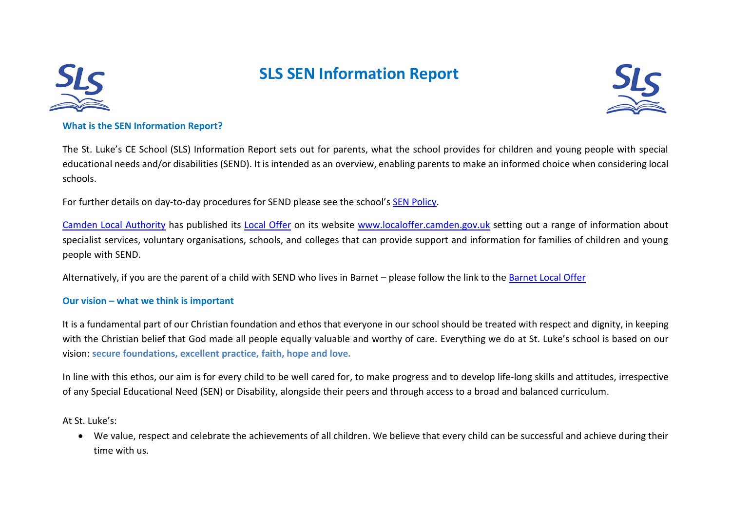

# **SLS SEN Information Report**



#### **What is the SEN Information Report?**

The St. Luke's CE School (SLS) Information Report sets out for parents, what the school provides for children and young people with special educational needs and/or disabilities (SEND). It is intended as an overview, enabling parents to make an informed choice when considering local schools.

For further details on day-to-day procedures for SEND please see the school's [SEN Policy.](http://www.stlukesschool.org.uk/Policies)

[Camden Local Authority](https://www.camden.gov.uk/ccm/navigation/;jsessionid=FFEE6981FF28946D0657AC8074D71A7E) has published its [Local Offer](http://www.localoffer.camden.gov.uk/) on its website [www.localoffer.camden.gov.uk](http://www.localoffer.camden.gov.uk/) setting out a range of information about specialist services, voluntary organisations, schools, and colleges that can provide support and information for families of children and young people with SEND.

Alternatively, if you are the parent of a child with SEND who lives in Barnet – please follow the link to the [Barnet Local Offer](https://www.barnet.gov.uk/citizen-home/children-young-people-and-families/the-local-offer-and-special-educational-needs.html)

#### **Our vision – what we think is important**

It is a fundamental part of our Christian foundation and ethos that everyone in our school should be treated with respect and dignity, in keeping with the Christian belief that God made all people equally valuable and worthy of care. Everything we do at St. Luke's school is based on our vision: **secure foundations, excellent practice, faith, hope and love.** 

In line with this ethos, our aim is for every child to be well cared for, to make progress and to develop life-long skills and attitudes, irrespective of any Special Educational Need (SEN) or Disability, alongside their peers and through access to a broad and balanced curriculum.

At St. Luke's:

• We value, respect and celebrate the achievements of all children. We believe that every child can be successful and achieve during their time with us.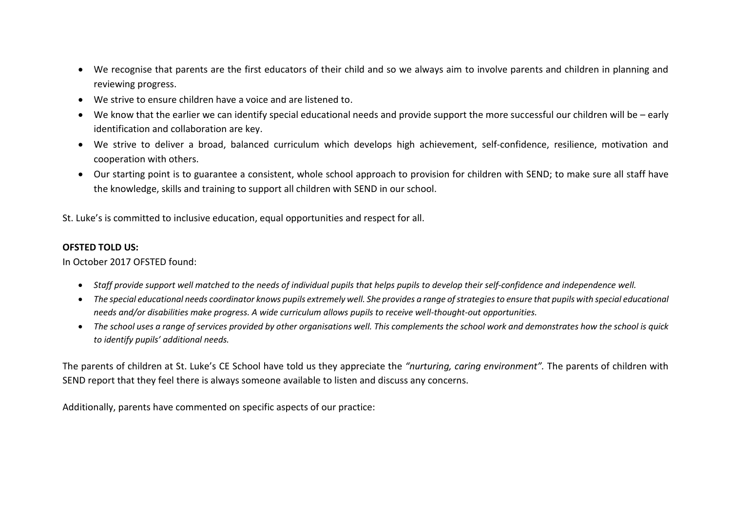- We recognise that parents are the first educators of their child and so we always aim to involve parents and children in planning and reviewing progress.
- We strive to ensure children have a voice and are listened to.
- We know that the earlier we can identify special educational needs and provide support the more successful our children will be early identification and collaboration are key.
- We strive to deliver a broad, balanced curriculum which develops high achievement, self-confidence, resilience, motivation and cooperation with others.
- Our starting point is to guarantee a consistent, whole school approach to provision for children with SEND; to make sure all staff have the knowledge, skills and training to support all children with SEND in our school.

St. Luke's is committed to inclusive education, equal opportunities and respect for all.

#### **OFSTED TOLD US:**

In October 2017 OFSTED found:

- *Staff provide support well matched to the needs of individual pupils that helps pupils to develop their self-confidence and independence well.*
- *The special educational needs coordinator knows pupils extremely well. She provides a range of strategies to ensure that pupils with special educational needs and/or disabilities make progress. A wide curriculum allows pupils to receive well-thought-out opportunities.*
- *The school uses a range of services provided by other organisations well. This complements the school work and demonstrates how the school is quick to identify pupils' additional needs.*

The parents of children at St. Luke's CE School have told us they appreciate the *"nurturing, caring environment".* The parents of children with SEND report that they feel there is always someone available to listen and discuss any concerns.

Additionally, parents have commented on specific aspects of our practice: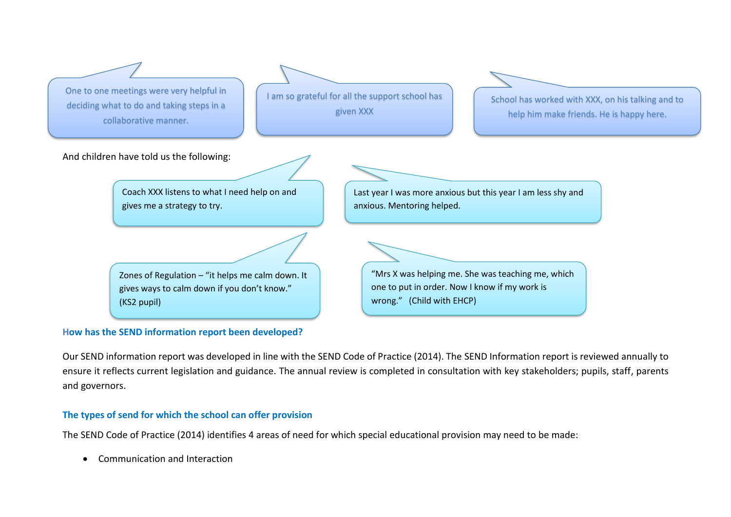

#### **How has the SEND information report been developed?**

Our SEND information report was developed in line with the SEND Code of Practice (2014). The SEND Information report is reviewed annually to ensure it reflects current legislation and guidance. The annual review is completed in consultation with key stakeholders; pupils, staff, parents and governors.

#### **The types of send for which the school can offer provision**

The SEND Code of Practice (2014) identifies 4 areas of need for which special educational provision may need to be made:

• Communication and Interaction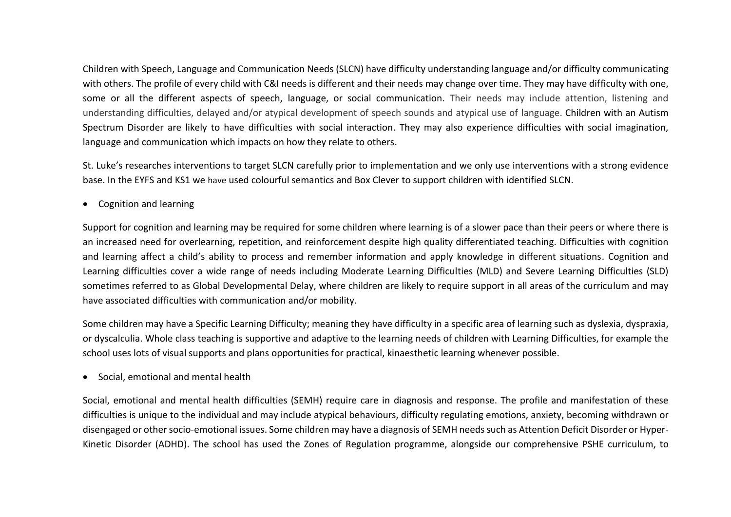Children with Speech, Language and Communication Needs (SLCN) have difficulty understanding language and/or difficulty communicating with others. The profile of every child with C&I needs is different and their needs may change over time. They may have difficulty with one, some or all the different aspects of speech, language, or social communication. Their needs may include attention, listening and understanding difficulties, delayed and/or atypical development of speech sounds and atypical use of language. Children with an Autism Spectrum Disorder are likely to have difficulties with social interaction. They may also experience difficulties with social imagination, language and communication which impacts on how they relate to others.

St. Luke's researches interventions to target SLCN carefully prior to implementation and we only use interventions with a strong evidence base. In the EYFS and KS1 we have used colourful semantics and Box Clever to support children with identified SLCN.

• Cognition and learning

Support for cognition and learning may be required for some children where learning is of a slower pace than their peers or where there is an increased need for overlearning, repetition, and reinforcement despite high quality differentiated teaching. Difficulties with cognition and learning affect a child's ability to process and remember information and apply knowledge in different situations. Cognition and Learning difficulties cover a wide range of needs including Moderate Learning Difficulties (MLD) and Severe Learning Difficulties (SLD) sometimes referred to as Global Developmental Delay, where children are likely to require support in all areas of the curriculum and may have associated difficulties with communication and/or mobility.

Some children may have a Specific Learning Difficulty; meaning they have difficulty in a specific area of learning such as dyslexia, dyspraxia, or dyscalculia. Whole class teaching is supportive and adaptive to the learning needs of children with Learning Difficulties, for example the school uses lots of visual supports and plans opportunities for practical, kinaesthetic learning whenever possible.

• Social, emotional and mental health

Social, emotional and mental health difficulties (SEMH) require care in diagnosis and response. The profile and manifestation of these difficulties is unique to the individual and may include atypical behaviours, difficulty regulating emotions, anxiety, becoming withdrawn or disengaged or other socio-emotional issues. Some children may have a diagnosis of SEMH needs such as Attention Deficit Disorder or Hyper-Kinetic Disorder (ADHD). The school has used the Zones of Regulation programme, alongside our comprehensive PSHE curriculum, to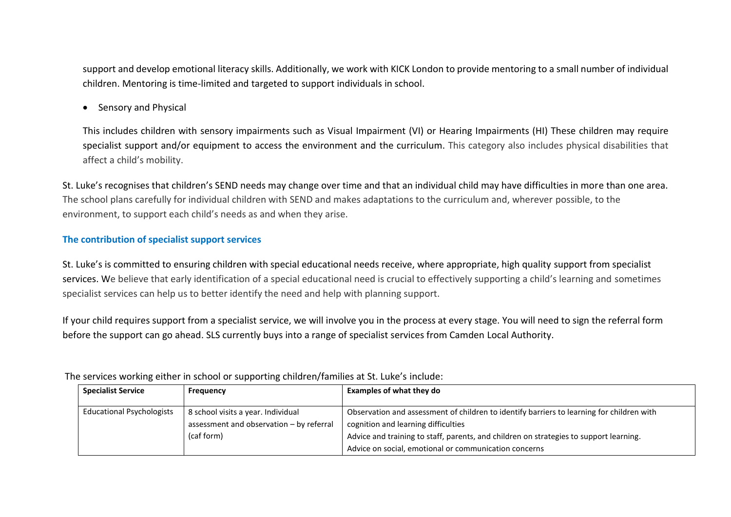support and develop emotional literacy skills. Additionally, we work with KICK London to provide mentoring to a small number of individual children. Mentoring is time-limited and targeted to support individuals in school.

• Sensory and Physical

This includes children with sensory impairments such as Visual Impairment (VI) or Hearing Impairments (HI) These children may require specialist support and/or equipment to access the environment and the curriculum. This category also includes physical disabilities that affect a child's mobility.

St. Luke's recognises that children's SEND needs may change over time and that an individual child may have difficulties in more than one area. The school plans carefully for individual children with SEND and makes adaptations to the curriculum and, wherever possible, to the environment, to support each child's needs as and when they arise.

# **The contribution of specialist support services**

St. Luke's is committed to ensuring children with special educational needs receive, where appropriate, high quality support from specialist services. We believe that early identification of a special educational need is crucial to effectively supporting a child's learning and sometimes specialist services can help us to better identify the need and help with planning support.

If your child requires support from a specialist service, we will involve you in the process at every stage. You will need to sign the referral form before the support can go ahead. SLS currently buys into a range of specialist services from Camden Local Authority.

| <b>Specialist Service</b>        | <b>Frequency</b>                         | <b>Examples of what they do</b>                                                           |
|----------------------------------|------------------------------------------|-------------------------------------------------------------------------------------------|
| <b>Educational Psychologists</b> | 8 school visits a year. Individual       | Observation and assessment of children to identify barriers to learning for children with |
|                                  | assessment and observation - by referral | cognition and learning difficulties                                                       |
|                                  | (caf form)                               | Advice and training to staff, parents, and children on strategies to support learning.    |
|                                  |                                          | Advice on social, emotional or communication concerns                                     |

The services working either in school or supporting children/families at St. Luke's include: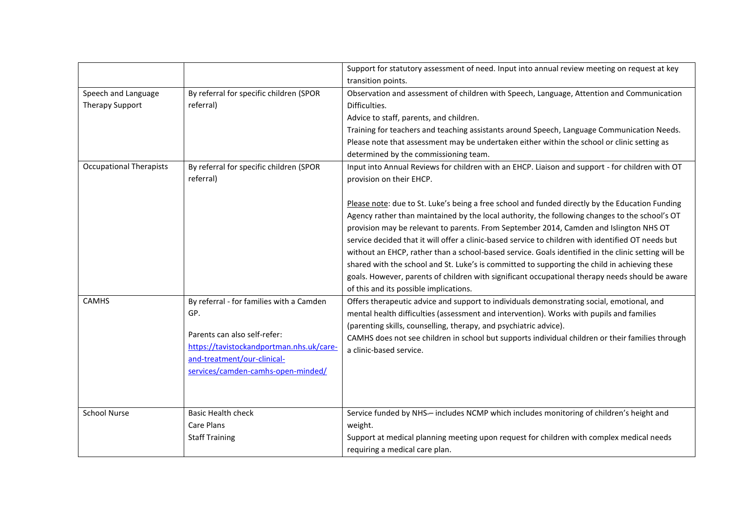|                                                                                 |                                                                                                                                                                                                  | Support for statutory assessment of need. Input into annual review meeting on request at key<br>transition points.                                                                                                                                                                                                                                                                                                                                                                                                                                                                                                                                                                                                                                                                 |
|---------------------------------------------------------------------------------|--------------------------------------------------------------------------------------------------------------------------------------------------------------------------------------------------|------------------------------------------------------------------------------------------------------------------------------------------------------------------------------------------------------------------------------------------------------------------------------------------------------------------------------------------------------------------------------------------------------------------------------------------------------------------------------------------------------------------------------------------------------------------------------------------------------------------------------------------------------------------------------------------------------------------------------------------------------------------------------------|
| Speech and Language<br><b>Therapy Support</b><br><b>Occupational Therapists</b> | By referral for specific children (SPOR<br>referral)<br>By referral for specific children (SPOR                                                                                                  | Observation and assessment of children with Speech, Language, Attention and Communication<br>Difficulties.<br>Advice to staff, parents, and children.<br>Training for teachers and teaching assistants around Speech, Language Communication Needs.<br>Please note that assessment may be undertaken either within the school or clinic setting as<br>determined by the commissioning team.<br>Input into Annual Reviews for children with an EHCP. Liaison and support - for children with OT                                                                                                                                                                                                                                                                                     |
|                                                                                 | referral)                                                                                                                                                                                        | provision on their EHCP.<br>Please note: due to St. Luke's being a free school and funded directly by the Education Funding<br>Agency rather than maintained by the local authority, the following changes to the school's OT<br>provision may be relevant to parents. From September 2014, Camden and Islington NHS OT<br>service decided that it will offer a clinic-based service to children with identified OT needs but<br>without an EHCP, rather than a school-based service. Goals identified in the clinic setting will be<br>shared with the school and St. Luke's is committed to supporting the child in achieving these<br>goals. However, parents of children with significant occupational therapy needs should be aware<br>of this and its possible implications. |
| <b>CAMHS</b>                                                                    | By referral - for families with a Camden<br>GP.<br>Parents can also self-refer:<br>https://tavistockandportman.nhs.uk/care-<br>and-treatment/our-clinical-<br>services/camden-camhs-open-minded/ | Offers therapeutic advice and support to individuals demonstrating social, emotional, and<br>mental health difficulties (assessment and intervention). Works with pupils and families<br>(parenting skills, counselling, therapy, and psychiatric advice).<br>CAMHS does not see children in school but supports individual children or their families through<br>a clinic-based service.                                                                                                                                                                                                                                                                                                                                                                                          |
| <b>School Nurse</b>                                                             | <b>Basic Health check</b><br><b>Care Plans</b><br><b>Staff Training</b>                                                                                                                          | Service funded by NHS-- includes NCMP which includes monitoring of children's height and<br>weight.<br>Support at medical planning meeting upon request for children with complex medical needs<br>requiring a medical care plan.                                                                                                                                                                                                                                                                                                                                                                                                                                                                                                                                                  |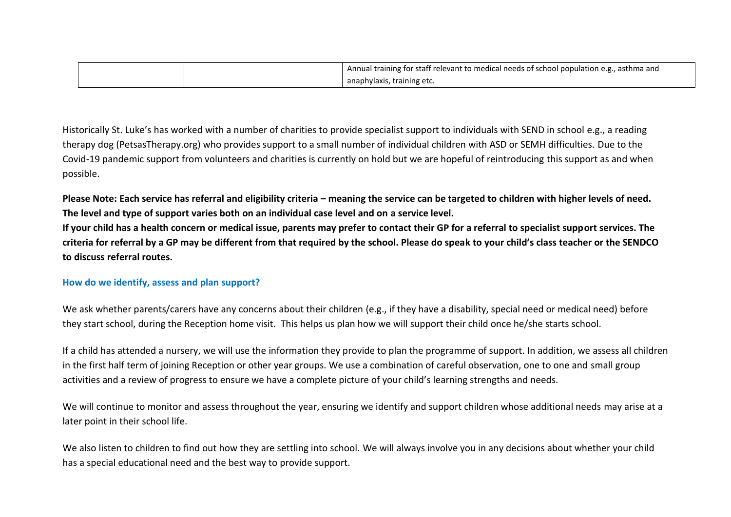|  | Annual training for staff relevant to medical needs of school population e.g., asthma and |
|--|-------------------------------------------------------------------------------------------|
|  | anaphylaxis, training etc.                                                                |

Historically St. Luke's has worked with a number of charities to provide specialist support to individuals with SEND in school e.g., a reading therapy dog (PetsasTherapy.org) who provides support to a small number of individual children with ASD or SEMH difficulties. Due to the Covid-19 pandemic support from volunteers and charities is currently on hold but we are hopeful of reintroducing this support as and when possible.

**Please Note: Each service has referral and eligibility criteria – meaning the service can be targeted to children with higher levels of need. The level and type of support varies both on an individual case level and on a service level. If your child has a health concern or medical issue, parents may prefer to contact their GP for a referral to specialist support services. The criteria for referral by a GP may be different from that required by the school. Please do speak to your child's class teacher or the SENDCO** 

#### **How do we identify, assess and plan support?**

**to discuss referral routes.** 

We ask whether parents/carers have any concerns about their children (e.g., if they have a disability, special need or medical need) before they start school, during the Reception home visit. This helps us plan how we will support their child once he/she starts school.

If a child has attended a nursery, we will use the information they provide to plan the programme of support. In addition, we assess all children in the first half term of joining Reception or other year groups. We use a combination of careful observation, one to one and small group activities and a review of progress to ensure we have a complete picture of your child's learning strengths and needs.

We will continue to monitor and assess throughout the year, ensuring we identify and support children whose additional needs may arise at a later point in their school life.

We also listen to children to find out how they are settling into school. We will always involve you in any decisions about whether your child has a special educational need and the best way to provide support.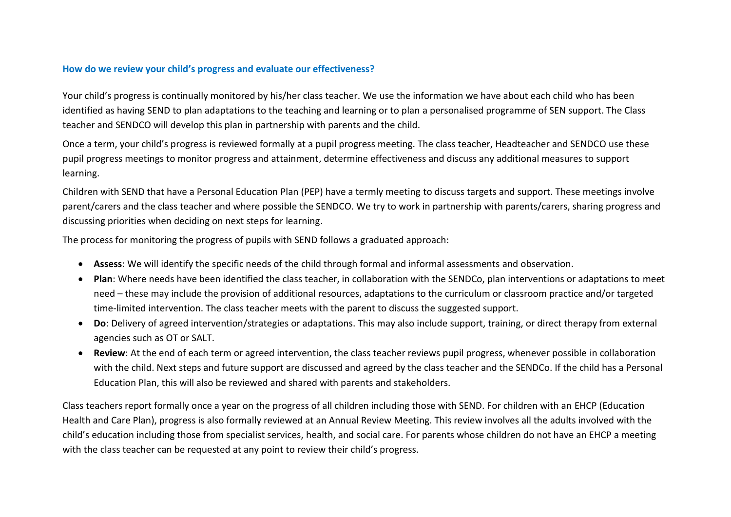#### **How do we review your child's progress and evaluate our effectiveness?**

Your child's progress is continually monitored by his/her class teacher. We use the information we have about each child who has been identified as having SEND to plan adaptations to the teaching and learning or to plan a personalised programme of SEN support. The Class teacher and SENDCO will develop this plan in partnership with parents and the child.

Once a term, your child's progress is reviewed formally at a pupil progress meeting. The class teacher, Headteacher and SENDCO use these pupil progress meetings to monitor progress and attainment, determine effectiveness and discuss any additional measures to support learning.

Children with SEND that have a Personal Education Plan (PEP) have a termly meeting to discuss targets and support. These meetings involve parent/carers and the class teacher and where possible the SENDCO. We try to work in partnership with parents/carers, sharing progress and discussing priorities when deciding on next steps for learning.

The process for monitoring the progress of pupils with SEND follows a graduated approach:

- **Assess**: We will identify the specific needs of the child through formal and informal assessments and observation.
- **Plan**: Where needs have been identified the class teacher, in collaboration with the SENDCo, plan interventions or adaptations to meet need – these may include the provision of additional resources, adaptations to the curriculum or classroom practice and/or targeted time-limited intervention. The class teacher meets with the parent to discuss the suggested support.
- **Do**: Delivery of agreed intervention/strategies or adaptations. This may also include support, training, or direct therapy from external agencies such as OT or SALT.
- **Review**: At the end of each term or agreed intervention, the class teacher reviews pupil progress, whenever possible in collaboration with the child. Next steps and future support are discussed and agreed by the class teacher and the SENDCo. If the child has a Personal Education Plan, this will also be reviewed and shared with parents and stakeholders.

Class teachers report formally once a year on the progress of all children including those with SEND. For children with an EHCP (Education Health and Care Plan), progress is also formally reviewed at an Annual Review Meeting. This review involves all the adults involved with the child's education including those from specialist services, health, and social care. For parents whose children do not have an EHCP a meeting with the class teacher can be requested at any point to review their child's progress.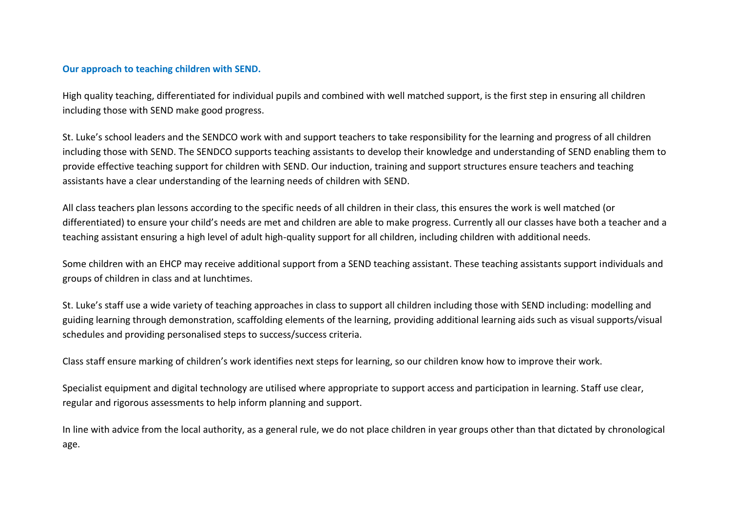#### **Our approach to teaching children with SEND.**

High quality teaching, differentiated for individual pupils and combined with well matched support, is the first step in ensuring all children including those with SEND make good progress.

St. Luke's school leaders and the SENDCO work with and support teachers to take responsibility for the learning and progress of all children including those with SEND. The SENDCO supports teaching assistants to develop their knowledge and understanding of SEND enabling them to provide effective teaching support for children with SEND. Our induction, training and support structures ensure teachers and teaching assistants have a clear understanding of the learning needs of children with SEND.

All class teachers plan lessons according to the specific needs of all children in their class, this ensures the work is well matched (or differentiated) to ensure your child's needs are met and children are able to make progress. Currently all our classes have both a teacher and a teaching assistant ensuring a high level of adult high-quality support for all children, including children with additional needs.

Some children with an EHCP may receive additional support from a SEND teaching assistant. These teaching assistants support individuals and groups of children in class and at lunchtimes.

St. Luke's staff use a wide variety of teaching approaches in class to support all children including those with SEND including: modelling and guiding learning through demonstration, scaffolding elements of the learning, providing additional learning aids such as visual supports/visual schedules and providing personalised steps to success/success criteria.

Class staff ensure marking of children's work identifies next steps for learning, so our children know how to improve their work.

Specialist equipment and digital technology are utilised where appropriate to support access and participation in learning. Staff use clear, regular and rigorous assessments to help inform planning and support.

In line with advice from the local authority, as a general rule, we do not place children in year groups other than that dictated by chronological age.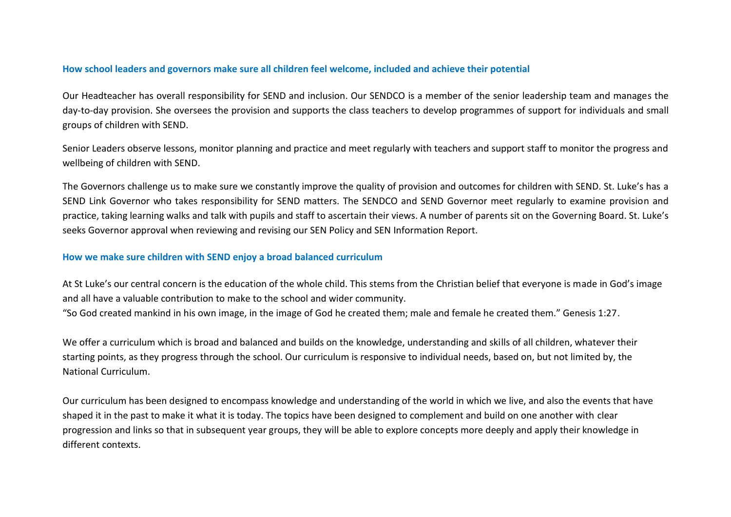#### **How school leaders and governors make sure all children feel welcome, included and achieve their potential**

Our Headteacher has overall responsibility for SEND and inclusion. Our SENDCO is a member of the senior leadership team and manages the day-to-day provision. She oversees the provision and supports the class teachers to develop programmes of support for individuals and small groups of children with SEND.

Senior Leaders observe lessons, monitor planning and practice and meet regularly with teachers and support staff to monitor the progress and wellbeing of children with SEND.

The Governors challenge us to make sure we constantly improve the quality of provision and outcomes for children with SEND. St. Luke's has a SEND Link Governor who takes responsibility for SEND matters. The SENDCO and SEND Governor meet regularly to examine provision and practice, taking learning walks and talk with pupils and staff to ascertain their views. A number of parents sit on the Governing Board. St. Luke's seeks Governor approval when reviewing and revising our SEN Policy and SEN Information Report.

#### **How we make sure children with SEND enjoy a broad balanced curriculum**

At St Luke's our central concern is the education of the whole child. This stems from the Christian belief that everyone is made in God's image and all have a valuable contribution to make to the school and wider community.

"So God created mankind in his own image, in the image of God he created them; male and female he created them." Genesis 1:27.

We offer a curriculum which is broad and balanced and builds on the knowledge, understanding and skills of all children, whatever their starting points, as they progress through the school. Our curriculum is responsive to individual needs, based on, but not limited by, the National Curriculum.

Our curriculum has been designed to encompass knowledge and understanding of the world in which we live, and also the events that have shaped it in the past to make it what it is today. The topics have been designed to complement and build on one another with clear progression and links so that in subsequent year groups, they will be able to explore concepts more deeply and apply their knowledge in different contexts.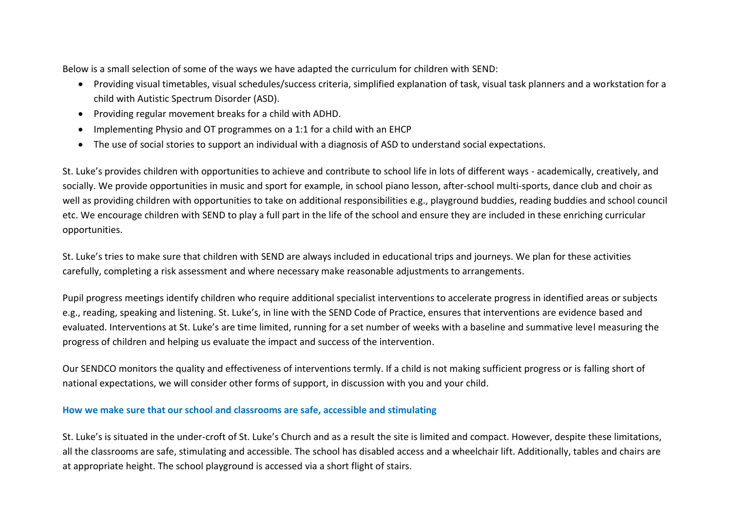Below is a small selection of some of the ways we have adapted the curriculum for children with SEND:

- Providing visual timetables, visual schedules/success criteria, simplified explanation of task, visual task planners and a workstation for a child with Autistic Spectrum Disorder (ASD).
- Providing regular movement breaks for a child with ADHD.
- Implementing Physio and OT programmes on a 1:1 for a child with an EHCP
- The use of social stories to support an individual with a diagnosis of ASD to understand social expectations.

St. Luke's provides children with opportunities to achieve and contribute to school life in lots of different ways - academically, creatively, and socially. We provide opportunities in music and sport for example, in school piano lesson, after-school multi-sports, dance club and choir as well as providing children with opportunities to take on additional responsibilities e.g., playground buddies, reading buddies and school council etc. We encourage children with SEND to play a full part in the life of the school and ensure they are included in these enriching curricular opportunities.

St. Luke's tries to make sure that children with SEND are always included in educational trips and journeys. We plan for these activities carefully, completing a risk assessment and where necessary make reasonable adjustments to arrangements.

Pupil progress meetings identify children who require additional specialist interventions to accelerate progress in identified areas or subjects e.g., reading, speaking and listening. St. Luke's, in line with the SEND Code of Practice, ensures that interventions are evidence based and evaluated. Interventions at St. Luke's are time limited, running for a set number of weeks with a baseline and summative level measuring the progress of children and helping us evaluate the impact and success of the intervention.

Our SENDCO monitors the quality and effectiveness of interventions termly. If a child is not making sufficient progress or is falling short of national expectations, we will consider other forms of support, in discussion with you and your child.

## **How we make sure that our school and classrooms are safe, accessible and stimulating**

St. Luke's is situated in the under-croft of St. Luke's Church and as a result the site is limited and compact. However, despite these limitations, all the classrooms are safe, stimulating and accessible. The school has disabled access and a wheelchair lift. Additionally, tables and chairs are at appropriate height. The school playground is accessed via a short flight of stairs.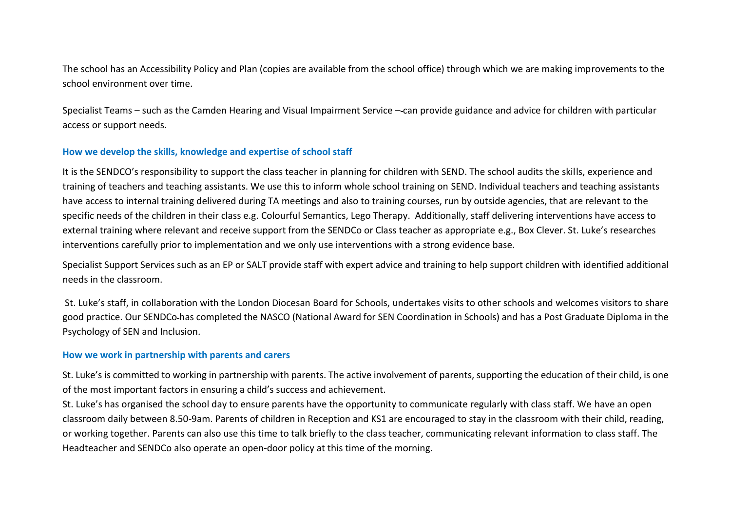The school has an Accessibility Policy and Plan (copies are available from the school office) through which we are making improvements to the school environment over time.

Specialist Teams – such as the Camden Hearing and Visual Impairment Service – can provide guidance and advice for children with particular access or support needs.

## **How we develop the skills, knowledge and expertise of school staff**

It is the SENDCO's responsibility to support the class teacher in planning for children with SEND. The school audits the skills, experience and training of teachers and teaching assistants. We use this to inform whole school training on SEND. Individual teachers and teaching assistants have access to internal training delivered during TA meetings and also to training courses, run by outside agencies, that are relevant to the specific needs of the children in their class e.g. Colourful Semantics, Lego Therapy. Additionally, staff delivering interventions have access to external training where relevant and receive support from the SENDCo or Class teacher as appropriate e.g., Box Clever. St. Luke's researches interventions carefully prior to implementation and we only use interventions with a strong evidence base.

Specialist Support Services such as an EP or SALT provide staff with expert advice and training to help support children with identified additional needs in the classroom.

St. Luke's staff, in collaboration with the London Diocesan Board for Schools, undertakes visits to other schools and welcomes visitors to share good practice. Our SENDCo has completed the NASCO (National Award for SEN Coordination in Schools) and has a Post Graduate Diploma in the Psychology of SEN and Inclusion.

#### **How we work in partnership with parents and carers**

St. Luke's is committed to working in partnership with parents. The active involvement of parents, supporting the education of their child, is one of the most important factors in ensuring a child's success and achievement.

St. Luke's has organised the school day to ensure parents have the opportunity to communicate regularly with class staff. We have an open classroom daily between 8.50-9am. Parents of children in Reception and KS1 are encouraged to stay in the classroom with their child, reading, or working together. Parents can also use this time to talk briefly to the class teacher, communicating relevant information to class staff. The Headteacher and SENDCo also operate an open-door policy at this time of the morning.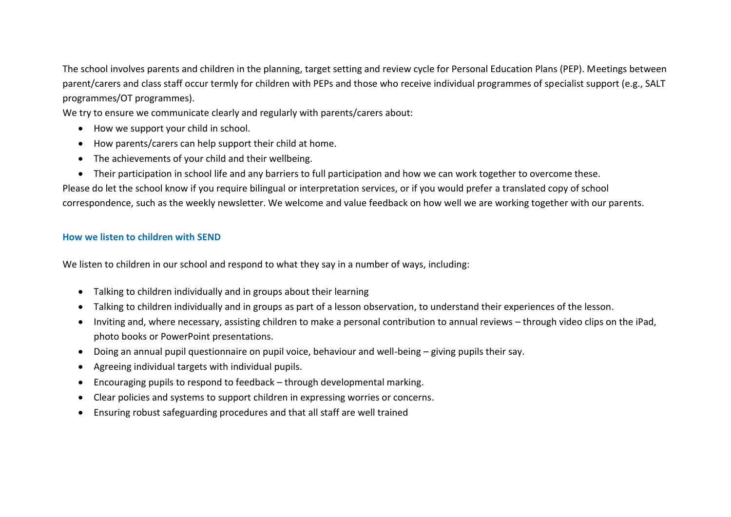The school involves parents and children in the planning, target setting and review cycle for Personal Education Plans (PEP). Meetings between parent/carers and class staff occur termly for children with PEPs and those who receive individual programmes of specialist support (e.g., SALT programmes/OT programmes).

We try to ensure we communicate clearly and regularly with parents/carers about:

- How we support your child in school.
- How parents/carers can help support their child at home.
- The achievements of your child and their wellbeing.
- Their participation in school life and any barriers to full participation and how we can work together to overcome these.

Please do let the school know if you require bilingual or interpretation services, or if you would prefer a translated copy of school correspondence, such as the weekly newsletter. We welcome and value feedback on how well we are working together with our parents.

# **How we listen to children with SEND**

We listen to children in our school and respond to what they say in a number of ways, including:

- Talking to children individually and in groups about their learning
- Talking to children individually and in groups as part of a lesson observation, to understand their experiences of the lesson.
- Inviting and, where necessary, assisting children to make a personal contribution to annual reviews through video clips on the iPad, photo books or PowerPoint presentations.
- Doing an annual pupil questionnaire on pupil voice, behaviour and well-being giving pupils their say.
- Agreeing individual targets with individual pupils.
- Encouraging pupils to respond to feedback through developmental marking.
- Clear policies and systems to support children in expressing worries or concerns.
- Ensuring robust safeguarding procedures and that all staff are well trained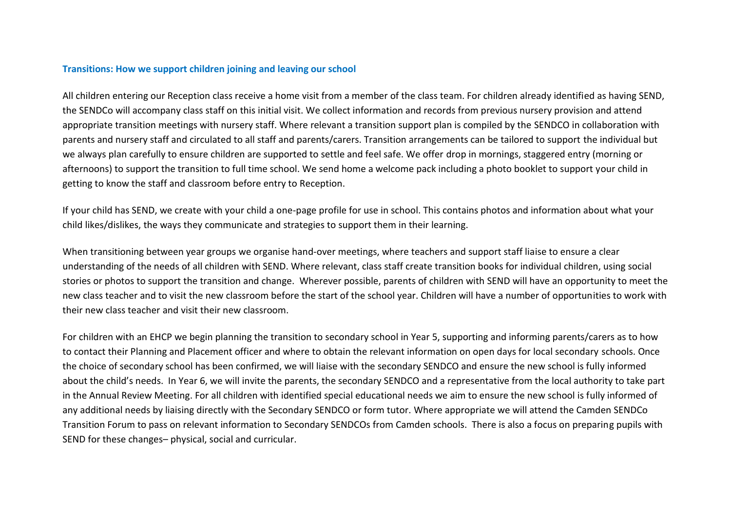#### **Transitions: How we support children joining and leaving our school**

All children entering our Reception class receive a home visit from a member of the class team. For children already identified as having SEND, the SENDCo will accompany class staff on this initial visit. We collect information and records from previous nursery provision and attend appropriate transition meetings with nursery staff. Where relevant a transition support plan is compiled by the SENDCO in collaboration with parents and nursery staff and circulated to all staff and parents/carers. Transition arrangements can be tailored to support the individual but we always plan carefully to ensure children are supported to settle and feel safe. We offer drop in mornings, staggered entry (morning or afternoons) to support the transition to full time school. We send home a welcome pack including a photo booklet to support your child in getting to know the staff and classroom before entry to Reception.

If your child has SEND, we create with your child a one-page profile for use in school. This contains photos and information about what your child likes/dislikes, the ways they communicate and strategies to support them in their learning.

When transitioning between year groups we organise hand-over meetings, where teachers and support staff liaise to ensure a clear understanding of the needs of all children with SEND. Where relevant, class staff create transition books for individual children, using social stories or photos to support the transition and change. Wherever possible, parents of children with SEND will have an opportunity to meet the new class teacher and to visit the new classroom before the start of the school year. Children will have a number of opportunities to work with their new class teacher and visit their new classroom.

For children with an EHCP we begin planning the transition to secondary school in Year 5, supporting and informing parents/carers as to how to contact their Planning and Placement officer and where to obtain the relevant information on open days for local secondary schools. Once the choice of secondary school has been confirmed, we will liaise with the secondary SENDCO and ensure the new school is fully informed about the child's needs. In Year 6, we will invite the parents, the secondary SENDCO and a representative from the local authority to take part in the Annual Review Meeting. For all children with identified special educational needs we aim to ensure the new school is fully informed of any additional needs by liaising directly with the Secondary SENDCO or form tutor. Where appropriate we will attend the Camden SENDCo Transition Forum to pass on relevant information to Secondary SENDCOs from Camden schools. There is also a focus on preparing pupils with SEND for these changes– physical, social and curricular.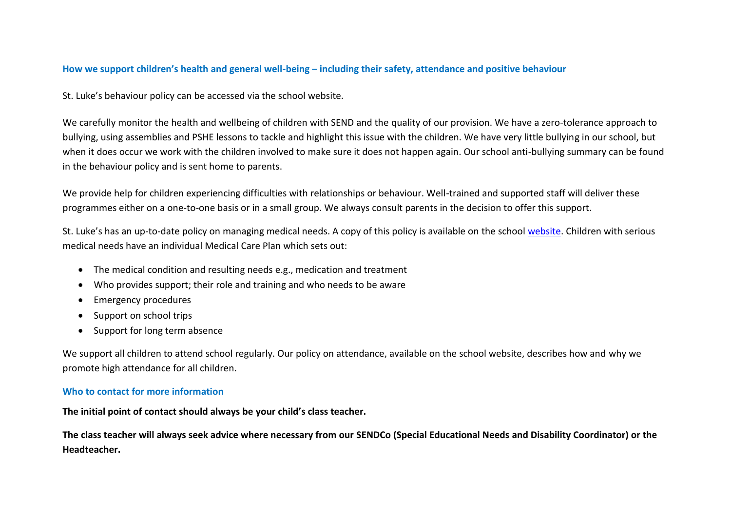#### **How we support children's health and general well-being – including their safety, attendance and positive behaviour**

St. Luke's behaviour policy can be accessed via the school website.

We carefully monitor the health and wellbeing of children with SEND and the quality of our provision. We have a zero-tolerance approach to bullying, using assemblies and PSHE lessons to tackle and highlight this issue with the children. We have very little bullying in our school, but when it does occur we work with the children involved to make sure it does not happen again. Our school anti-bullying summary can be found in the behaviour policy and is sent home to parents.

We provide help for children experiencing difficulties with relationships or behaviour. Well-trained and supported staff will deliver these programmes either on a one-to-one basis or in a small group. We always consult parents in the decision to offer this support.

St. Luke's has an up-to-date policy on managing medical needs. A copy of this policy is available on the school [website.](http://www.stlukesschool.org.uk/Policies) Children with serious medical needs have an individual Medical Care Plan which sets out:

- The medical condition and resulting needs e.g., medication and treatment
- Who provides support; their role and training and who needs to be aware
- Emergency procedures
- Support on school trips
- Support for long term absence

We support all children to attend school regularly. Our policy on attendance, available on the school website, describes how and why we promote high attendance for all children.

#### **Who to contact for more information**

**The initial point of contact should always be your child's class teacher.** 

**The class teacher will always seek advice where necessary from our SENDCo (Special Educational Needs and Disability Coordinator) or the Headteacher.**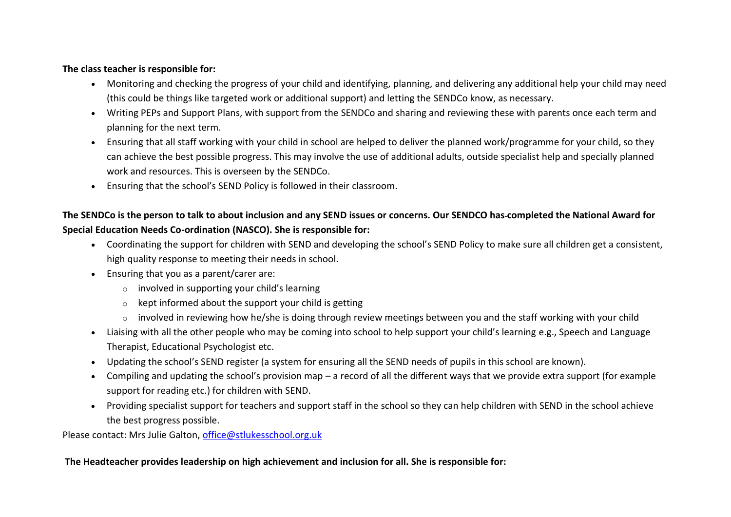## **The class teacher is responsible for:**

- Monitoring and checking the progress of your child and identifying, planning, and delivering any additional help your child may need (this could be things like targeted work or additional support) and letting the SENDCo know, as necessary.
- Writing PEPs and Support Plans, with support from the SENDCo and sharing and reviewing these with parents once each term and planning for the next term.
- Ensuring that all staff working with your child in school are helped to deliver the planned work/programme for your child, so they can achieve the best possible progress. This may involve the use of additional adults, outside specialist help and specially planned work and resources. This is overseen by the SENDCo.
- Ensuring that the school's SEND Policy is followed in their classroom.

# **The SENDCo is the person to talk to about inclusion and any SEND issues or concerns. Our SENDCO has completed the National Award for Special Education Needs Co-ordination (NASCO). She is responsible for:**

- Coordinating the support for children with SEND and developing the school's SEND Policy to make sure all children get a consistent, high quality response to meeting their needs in school.
- Ensuring that you as a parent/carer are:
	- $\circ$  involved in supporting your child's learning
	- $\circ$  kept informed about the support your child is getting
	- $\circ$  involved in reviewing how he/she is doing through review meetings between you and the staff working with your child
- Liaising with all the other people who may be coming into school to help support your child's learning e.g., Speech and Language Therapist, Educational Psychologist etc.
- Updating the school's SEND register (a system for ensuring all the SEND needs of pupils in this school are known).
- Compiling and updating the school's provision map a record of all the different ways that we provide extra support (for example support for reading etc.) for children with SEND.
- Providing specialist support for teachers and support staff in the school so they can help children with SEND in the school achieve the best progress possible.

Please contact: Mrs Julie Galton, [office@stlukesschool.org.uk](mailto:office@stlukesschool.org.uk)

## **The Headteacher provides leadership on high achievement and inclusion for all. She is responsible for:**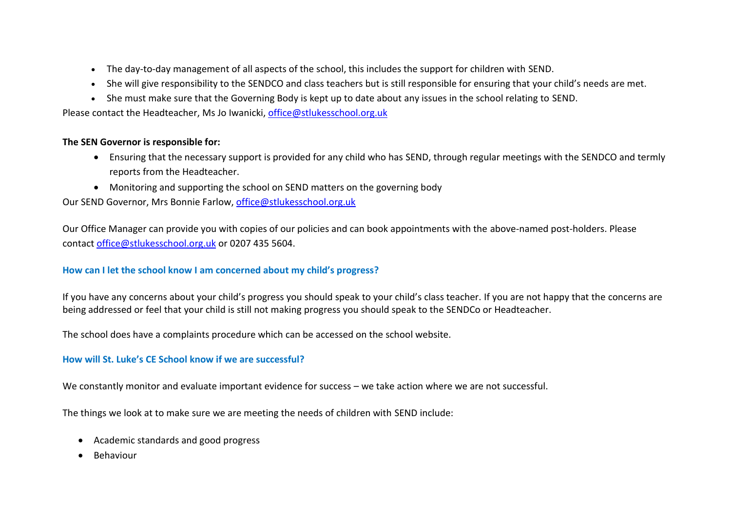- The day-to-day management of all aspects of the school, this includes the support for children with SEND.
- She will give responsibility to the SENDCO and class teachers but is still responsible for ensuring that your child's needs are met.
- She must make sure that the Governing Body is kept up to date about any issues in the school relating to SEND.

Please contact the Headteacher, Ms Jo Iwanicki[, office@stlukesschool.org.uk](mailto:office@stlukesschool.org.uk)

#### **The SEN Governor is responsible for:**

- Ensuring that the necessary support is provided for any child who has SEND, through regular meetings with the SENDCO and termly reports from the Headteacher.
- Monitoring and supporting the school on SEND matters on the governing body

Our SEND Governor, Mrs Bonnie Farlow, [office@stlukesschool.org.uk](mailto:office@stlukesschool.org.uk)

Our Office Manager can provide you with copies of our policies and can book appointments with the above-named post-holders. Please contact [office@stlukesschool.org.uk](mailto:office@stlukesschool.org.uk) or 0207 435 5604.

## **How can I let the school know I am concerned about my child's progress?**

If you have any concerns about your child's progress you should speak to your child's class teacher. If you are not happy that the concerns are being addressed or feel that your child is still not making progress you should speak to the SENDCo or Headteacher.

The school does have a complaints procedure which can be accessed on the school website.

## **How will St. Luke's CE School know if we are successful?**

We constantly monitor and evaluate important evidence for success – we take action where we are not successful.

The things we look at to make sure we are meeting the needs of children with SEND include:

- Academic standards and good progress
- **Behaviour**